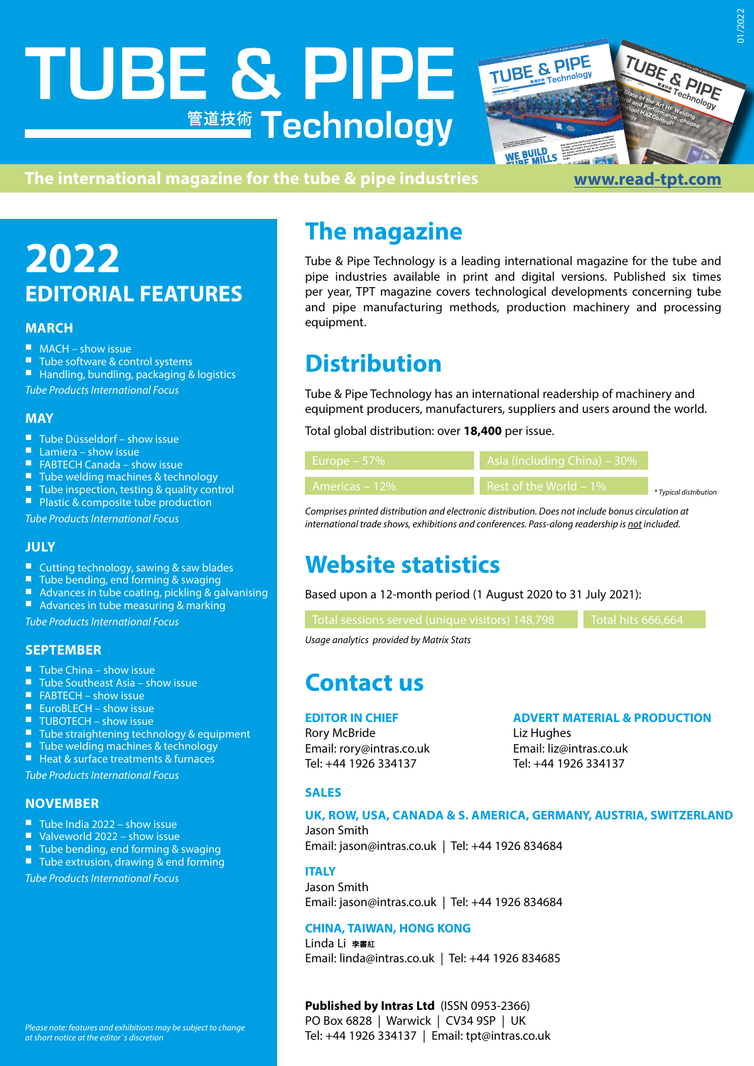# **TUBE & PIPE 管道技術 Technology**



DOWNLOAD our latest article, The Path to a Better Thermatool Weld, at thermatool.com/weld.

#### **The international magazine for the tube & pipe industries [www.read-tpt.com](http://www.read-tpt.com)**

# **2022 EDITORIAL FEATURES**

#### **MARCH**

- 
- MACH show issue<br>■ Tube software & control systems<br>■ Handling, bundling, packaging & logistics
- 

*Tube Products International Focus*

#### **MAY**

- 
- 
- 
- 
- Tube Düsseldorf show issue<br>■ Lamiera show issue<br>■ FABTECH Canada show issue<br>■ Tube welding machines & technology<br>■ Tube inspection, testing & quality control<br>■ Plastic & composite tube production
- 

*Tube Products International Focus*

#### **JULY**

- 
- 
- Cutting technology, sawing & saw blades<br>■ Tube bending, end forming & swaging<br>■ Advances in tube coating, pickling & galvanising<br>■ Advances in tube measuring & marking
- 

*Tube Products International Focus*

#### **SEPTEMBER**

- 
- 
- 
- 
- 
- Tube China show issue<br>■ Tube Southeast Asia show issue<br>■ FABTECH show issue<br>■ EuroBLECH show issue<br>■ TUBOTECH show issue<br>■ Tube straightening technology & equipment<br>■ Tube welding machines & technology<br>■ Heat
- 
- 

*Tube Products International Focus*

#### **NOVEMBER**

- 
- 
- Tube India 2022 show issue<br>■ Valveworld 2022 show issue<br>■ Tube bending, end forming & swaging<br>■ Tube extrusion, drawing & end forming
- 

*Tube Products International Focus*

### **The magazine**

Tube & Pipe Technology is a leading international magazine for the tube and pipe industries available in print and digital versions. Published six times per year, TPT magazine covers technological developments concerning tube and pipe manufacturing methods, production machinery and processing equipment.

## **Distribution**

Tube & Pipe Technology has an international readership of machinery and equipment producers, manufacturers, suppliers and users around the world.

Total global distribution: over **18,400** per issue.

| ا Europe – 57% ا | Asia (including China) – 30% |                        |
|------------------|------------------------------|------------------------|
| Americas – 12%   | Rest of the World $-1\%$     | * Typical distribution |

*Comprises printed distribution and electronic distribution. Does not include bonus circulation at international trade shows, exhibitions and conferences. Pass-along readership is not included.*

# **Website statistics**

Based upon a 12-month period (1 August 2020 to 31 July 2021):

Total sessions served (unique visitors) 148,798 Total hits 666,664

*Usage analytics provided by Matrix Stats*

### **Contact us**

#### **EDITOR IN CHIEF**

Rory McBride Email: rory@intras.co.uk Tel: +44 1926 334137

**ADVERT MATERIAL & PRODUCTION**

Liz Hughes Email: liz@intras.co.uk Tel: +44 1926 334137

#### **SALES**

#### **UK, ROW, USA, CANADA & S. AMERICA, GERMANY, AUSTRIA, SWITZERLAND**

Jason Smith Email: jason@intras.co.uk | Tel: +44 1926 834684

#### **ITALY**

Jason Smith Email: jason@intras.co.uk | Tel: +44 1926 834684

#### **CHINA, TAIWAN, HONG KONG**

Linda Li 李書紅 Email: linda@intras.co.uk | Tel: +44 1926 834685

#### **Published by Intras Ltd** (ISSN 0953-2366)

PO Box 6828 | Warwick | CV34 9SP | UK Tel: +44 1926 334137 | Email: tpt@intras.co.uk